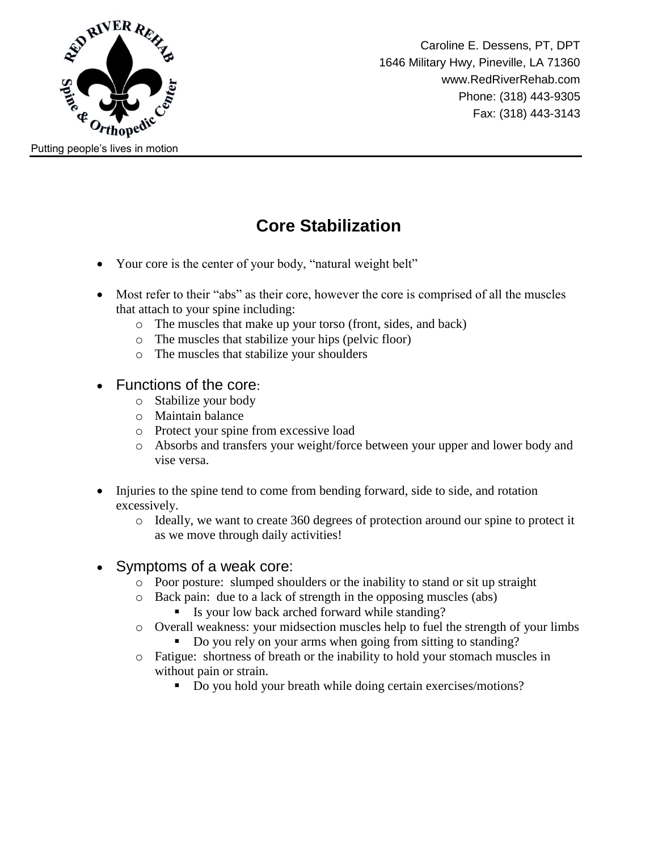

## **Core Stabilization**

- Your core is the center of your body, "natural weight belt"
- Most refer to their "abs" as their core, however the core is comprised of all the muscles that attach to your spine including:
	- o The muscles that make up your torso (front, sides, and back)
	- o The muscles that stabilize your hips (pelvic floor)
	- o The muscles that stabilize your shoulders
- Functions of the core:
	- o Stabilize your body
	- o Maintain balance
	- o Protect your spine from excessive load
	- o Absorbs and transfers your weight/force between your upper and lower body and vise versa.
- Injuries to the spine tend to come from bending forward, side to side, and rotation excessively.
	- o Ideally, we want to create 360 degrees of protection around our spine to protect it as we move through daily activities!
- Symptoms of a weak core:
	- o Poor posture: slumped shoulders or the inability to stand or sit up straight
	- o Back pain: due to a lack of strength in the opposing muscles (abs)
		- Is your low back arched forward while standing?
	- o Overall weakness: your midsection muscles help to fuel the strength of your limbs
		- Do you rely on your arms when going from sitting to standing?
	- o Fatigue: shortness of breath or the inability to hold your stomach muscles in without pain or strain.
		- Do you hold your breath while doing certain exercises/motions?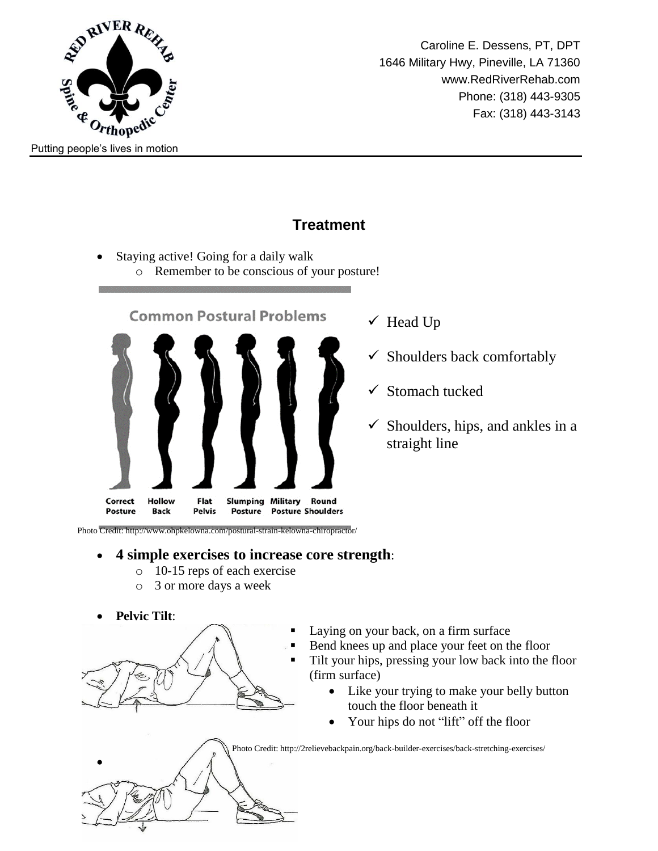

Caroline E. Dessens, PT, DPT 1646 Military Hwy, Pineville, LA 71360 www.RedRiverRehab.com Phone: (318) 443-9305 Fax: (318) 443-3143

## **Treatment**

- Staying active! Going for a daily walk
	- o Remember to be conscious of your posture!



- $\checkmark$  Head Up
- $\checkmark$  Shoulders back comfortably
- $\checkmark$  Stomach tucked
- $\checkmark$  Shoulders, hips, and ankles in a straight line

Photo Credit: http://www.ohpkelowna.com/postural-strain-kelowna-chiropractor/

## **4 simple exercises to increase core strength**:

- o 10-15 reps of each exercise
- o 3 or more days a week
- **Pelvic Tilt**:

 $\bullet$ 

- 
- Laying on your back, on a firm surface
	- Bend knees up and place your feet on the floor
	- Tilt your hips, pressing your low back into the floor (firm surface)
		- Like your trying to make your belly button touch the floor beneath it
		- Your hips do not "lift" off the floor

Photo Credit: http://2relievebackpain.org/back-builder-exercises/back-stretching-exercises/